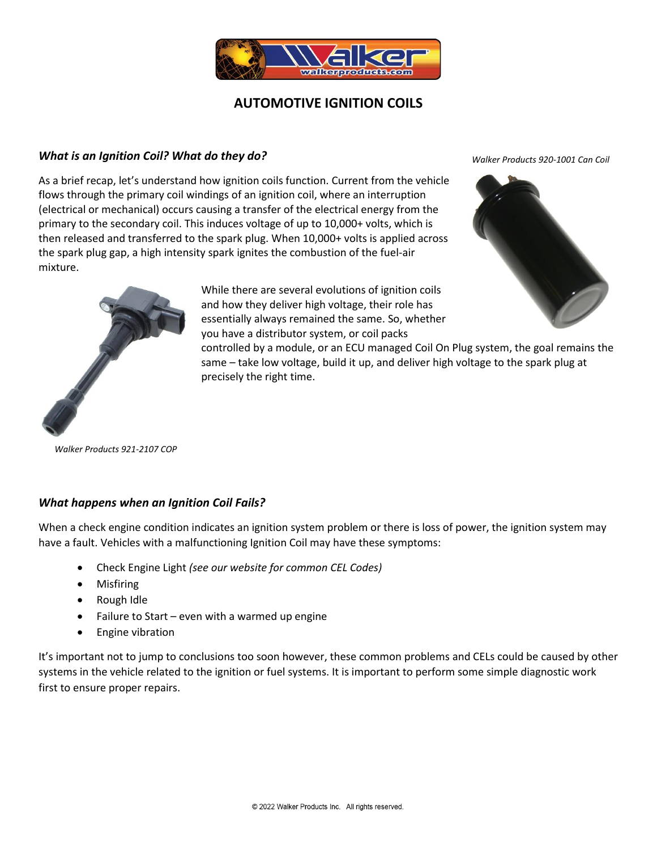

# **AUTOMOTIVE IGNITION COILS**

### *What is an Ignition Coil? What do they do?*

As a brief recap, let's understand how ignition coils function. Current from the vehicle flows through the primary coil windings of an ignition coil, where an interruption (electrical or mechanical) occurs causing a transfer of the electrical energy from the primary to the secondary coil. This induces voltage of up to 10,000+ volts, which is then released and transferred to the spark plug. When 10,000+ volts is applied across the spark plug gap, a high intensity spark ignites the combustion of the fuel-air mixture.

> While there are several evolutions of ignition coils and how they deliver high voltage, their role has essentially always remained the same. So, whether you have a distributor system, or coil packs

*Walker Products 920-1001 Can Coil*



controlled by a module, or an ECU managed Coil On Plug system, the goal remains the same – take low voltage, build it up, and deliver high voltage to the spark plug at precisely the right time.

*Walker Products 921-2107 COP*

## *What happens when an Ignition Coil Fails?*

When a check engine condition indicates an ignition system problem or there is loss of power, the ignition system may have a fault. Vehicles with a malfunctioning Ignition Coil may have these symptoms:

- Check Engine Light *(see our website for common CEL Codes)*
- Misfiring
- Rough Idle
- Failure to Start even with a warmed up engine
- Engine vibration

It's important not to jump to conclusions too soon however, these common problems and CELs could be caused by other systems in the vehicle related to the ignition or fuel systems. It is important to perform some simple diagnostic work first to ensure proper repairs.